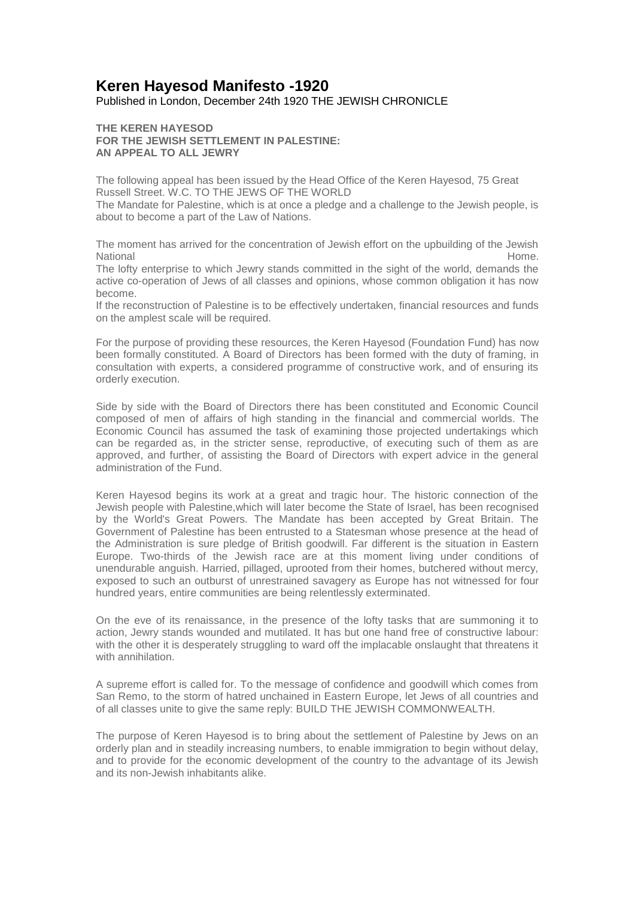## **Keren Hayesod Manifesto -1920**

Published in London, December 24th 1920 THE JEWISH CHRONICLE

**THE KEREN HAYESOD FOR THE JEWISH SETTLEMENT IN PALESTINE: AN APPEAL TO ALL JEWRY**

The following appeal has been issued by the Head Office of the Keren Hayesod, 75 Great Russell Street. W.C. TO THE JEWS OF THE WORLD

The Mandate for Palestine, which is at once a pledge and a challenge to the Jewish people, is about to become a part of the Law of Nations.

The moment has arrived for the concentration of Jewish effort on the upbuilding of the Jewish National **Home.** The contract of the contract of the contract of the contract of the contract of the contract of the contract of the contract of the contract of the contract of the contract of the contract of the contract

The lofty enterprise to which Jewry stands committed in the sight of the world, demands the active co-operation of Jews of all classes and opinions, whose common obligation it has now become.

If the reconstruction of Palestine is to be effectively undertaken, financial resources and funds on the amplest scale will be required.

For the purpose of providing these resources, the Keren Hayesod (Foundation Fund) has now been formally constituted. A Board of Directors has been formed with the duty of framing, in consultation with experts, a considered programme of constructive work, and of ensuring its orderly execution.

Side by side with the Board of Directors there has been constituted and Economic Council composed of men of affairs of high standing in the financial and commercial worlds. The Economic Council has assumed the task of examining those projected undertakings which can be regarded as, in the stricter sense, reproductive, of executing such of them as are approved, and further, of assisting the Board of Directors with expert advice in the general administration of the Fund.

Keren Hayesod begins its work at a great and tragic hour. The historic connection of the Jewish people with Palestine,which will later become the State of Israel, has been recognised by the World's Great Powers. The Mandate has been accepted by Great Britain. The Government of Palestine has been entrusted to a Statesman whose presence at the head of the Administration is sure pledge of British goodwill. Far different is the situation in Eastern Europe. Two-thirds of the Jewish race are at this moment living under conditions of unendurable anguish. Harried, pillaged, uprooted from their homes, butchered without mercy, exposed to such an outburst of unrestrained savagery as Europe has not witnessed for four hundred years, entire communities are being relentlessly exterminated.

On the eve of its renaissance, in the presence of the lofty tasks that are summoning it to action, Jewry stands wounded and mutilated. It has but one hand free of constructive labour: with the other it is desperately struggling to ward off the implacable onslaught that threatens it with annihilation.

A supreme effort is called for. To the message of confidence and goodwill which comes from San Remo, to the storm of hatred unchained in Eastern Europe, let Jews of all countries and of all classes unite to give the same reply: BUILD THE JEWISH COMMONWEALTH.

The purpose of Keren Hayesod is to bring about the settlement of Palestine by Jews on an orderly plan and in steadily increasing numbers, to enable immigration to begin without delay, and to provide for the economic development of the country to the advantage of its Jewish and its non-Jewish inhabitants alike.